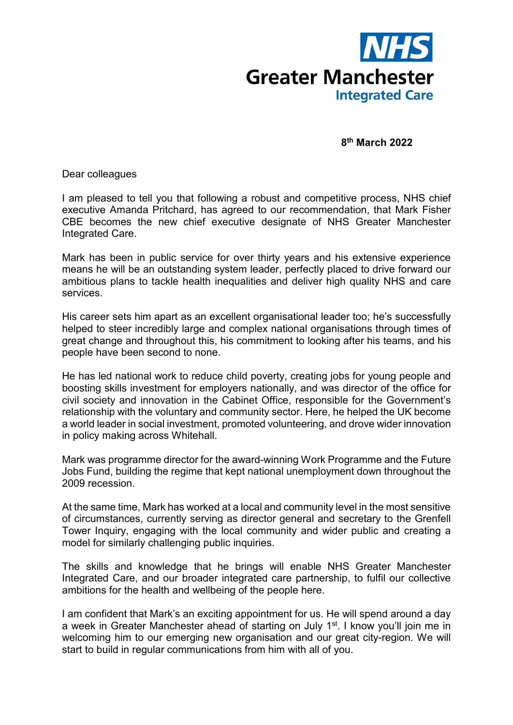

**8th March 2022**

Dear colleagues

I am pleased to tell you that following a robust and competitive process, NHS chief executive Amanda Pritchard, has agreed to our recommendation, that Mark Fisher CBE becomes the new chief executive designate of NHS Greater Manchester Integrated Care.

Mark has been in public service for over thirty years and his extensive experience means he will be an outstanding system leader, perfectly placed to drive forward our ambitious plans to tackle health inequalities and deliver high quality NHS and care services.

His career sets him apart as an excellent organisational leader too; he's successfully helped to steer incredibly large and complex national organisations through times of great change and throughout this, his commitment to looking after his teams, and his people have been second to none.

He has led national work to reduce child poverty, creating jobs for young people and boosting skills investment for employers nationally, and was director of the office for civil society and innovation in the Cabinet Office, responsible for the Government's relationship with the voluntary and community sector. Here, he helped the UK become a world leader in social investment, promoted volunteering, and drove wider innovation in policy making across Whitehall.

Mark was programme director for the award-winning Work Programme and the Future Jobs Fund, building the regime that kept national unemployment down throughout the 2009 recession.

At the same time, Mark has worked at a local and community level in the most sensitive of circumstances, currently serving as director general and secretary to the Grenfell Tower Inquiry, engaging with the local community and wider public and creating a model for similarly challenging public inquiries.

The skills and knowledge that he brings will enable NHS Greater Manchester Integrated Care, and our broader integrated care partnership, to fulfil our collective ambitions for the health and wellbeing of the people here.

I am confident that Mark's an exciting appointment for us. He will spend around a day a week in Greater Manchester ahead of starting on July 1<sup>st</sup>. I know you'll join me in welcoming him to our emerging new organisation and our great city-region. We will start to build in regular communications from him with all of you.